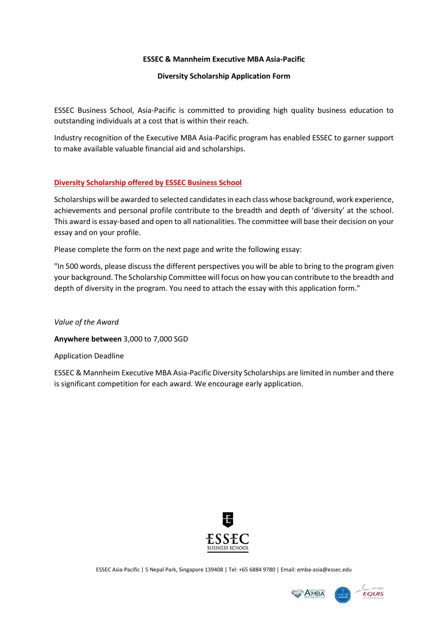### **ESSEC & Mannheim Executive MBA Asia-Pacific**

### **Diversity Scholarship Application Form**

ESSEC Business School, Asia-Pacific is committed to providing high quality business education to outstanding individuals at a cost that is within their reach.

Industry recognition of the Executive MBA Asia-Pacific program has enabled ESSEC to garner support to make available valuable financial aid and scholarships.

## **Diversity Scholarship offered by ESSEC Business School**

Scholarships will be awarded to selected candidates in each class whose background, work experience, achievements and personal profile contribute to the breadth and depth of 'diversity' at the school. This award is essay-based and open to all nationalities. The committee will base their decision on your essay and on your profile.

Please complete the form on the next page and write the following essay:

"In 500 words, please discuss the different perspectives you will be able to bring to the program given your background. The Scholarship Committee will focus on how you can contribute to the breadth and depth of diversity in the program. You need to attach the essay with this application form."

*Value of the Award*

**Anywhere between** 3,000 to 7,000 SGD

Application Deadline

ESSEC & Mannheim Executive MBA Asia-Pacific Diversity Scholarships are limited in number and there is significant competition for each award. We encourage early application.



ESSEC Asia-Pacific | 5 Nepal Park, Singapore 139408 | Tel: +65 6884 9780 | Email: emba-asia@essec.edu

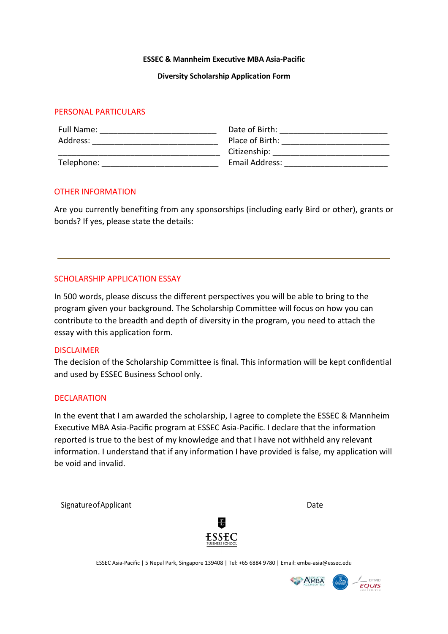#### **ESSEC & Mannheim Executive MBA Asia-Pacific**

#### **Diversity Scholarship Application Form**

## PERSONAL PARTICULARS

| Full Name: | Date of Birth:  |
|------------|-----------------|
| Address:   | Place of Birth: |
|            | Citizenship:    |
| Telephone: | Email Address:  |

## OTHER INFORMATION

Are you currently benefiting from any sponsorships (including early Bird or other), grants or bonds? If yes, please state the details:

## SCHOLARSHIP APPLICATION ESSAY

In 500 words, please discuss the different perspectives you will be able to bring to the program given your background. The Scholarship Committee will focus on how you can contribute to the breadth and depth of diversity in the program, you need to attach the essay with this application form.

## DISCLAIMER

The decision of the Scholarship Committee is final. This information will be kept confidential and used by ESSEC Business School only.

## DECLARATION

In the event that I am awarded the scholarship, I agree to complete the ESSEC & Mannheim Executive MBA Asia-Pacific program at ESSEC Asia-Pacific. I declare that the information reported is true to the best of my knowledge and that I have not withheld any relevant information. I understand that if any information I have provided is false, my application will be void and invalid.

Signature of Applicant Date Date Date Date Date



ESSEC Asia-Pacific | 5 Nepal Park, Singapore 139408 | Tel: +65 6884 9780 | Email: emba-asia@essec.edu